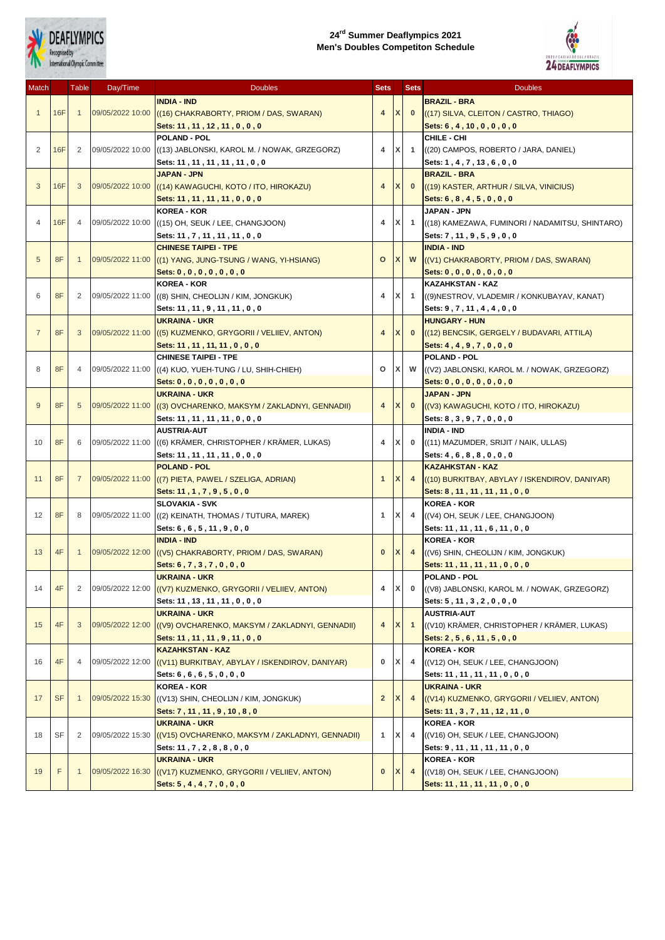

## **24rd Summer Deaflympics 2021 Men's Doubles Competiton Schedule**



| Match          |            | Table          | Day/Time         | <b>Doubles</b>                                                  | <b>Sets</b>    |              | <b>Sets</b>    | <b>Doubles</b>                                  |
|----------------|------------|----------------|------------------|-----------------------------------------------------------------|----------------|--------------|----------------|-------------------------------------------------|
|                |            |                |                  | <b>INDIA - IND</b>                                              |                |              |                | <b>BRAZIL - BRA</b>                             |
| $\mathbf{1}$   | 16F        | $\mathbf{1}$   | 09/05/2022 10:00 | ((16) CHAKRABORTY, PRIOM / DAS, SWARAN)                         | 4              | X            | $\mathbf{0}$   | ((17) SILVA, CLEITON / CASTRO, THIAGO)          |
|                |            |                |                  |                                                                 |                |              |                |                                                 |
|                |            |                |                  | Sets: 11, 11, 12, 11, 0, 0, 0<br><b>POLAND - POL</b>            |                |              |                | Sets: 6, 4, 10, 0, 0, 0, 0<br>CHILE - CHI       |
| $\overline{2}$ | <b>16F</b> | 2              |                  |                                                                 | 4              | X            | $\overline{1}$ |                                                 |
|                |            |                |                  | 09/05/2022 10:00 ((13) JABLONSKI, KAROL M. / NOWAK, GRZEGORZ)   |                |              |                | ((20) CAMPOS, ROBERTO / JARA, DANIEL)           |
|                |            |                |                  | Sets: 11, 11, 11, 11, 11, 0, 0                                  |                |              |                | Sets: 1, 4, 7, 13, 6, 0, 0                      |
|                |            |                |                  | <b>JAPAN - JPN</b>                                              |                |              |                | <b>BRAZIL - BRA</b>                             |
| 3              | 16F        | 3              | 09/05/2022 10:00 | ((14) KAWAGUCHI, KOTO / ITO, HIROKAZU)                          | $\overline{4}$ | X            | $\mathbf{0}$   | ((19) KASTER, ARTHUR / SILVA, VINICIUS)         |
|                |            |                |                  | Sets: 11, 11, 11, 11, 0, 0, 0                                   |                |              |                | Sets: $6, 8, 4, 5, 0, 0, 0$                     |
|                |            |                |                  | <b>KOREA - KOR</b>                                              |                |              |                | JAPAN - JPN                                     |
| $\overline{4}$ | 16F        | $\overline{4}$ | 09/05/2022 10:00 | ((15) OH, SEUK / LEE, CHANGJOON)                                | 4              | X            | $\overline{1}$ | ((18) KAMEZAWA, FUMINORI / NADAMITSU, SHINTARO) |
|                |            |                |                  | Sets: 11, 7, 11, 11, 11, 0, 0                                   |                |              |                | Sets: 7, 11, 9, 5, 9, 0, 0                      |
|                |            |                |                  | <b>CHINESE TAIPEI - TPE</b>                                     |                |              |                | <b>INDIA - IND</b>                              |
| 5              | 8F         | -1             |                  | 09/05/2022 11:00 ((1) YANG, JUNG-TSUNG / WANG, YI-HSIANG)       | $\circ$        | X            | W              | ((V1) CHAKRABORTY, PRIOM / DAS, SWARAN)         |
|                |            |                |                  | Sets: $0, 0, 0, 0, 0, 0, 0$                                     |                |              |                | Sets: $0, 0, 0, 0, 0, 0, 0$                     |
|                |            |                |                  | <b>KOREA - KOR</b>                                              |                |              |                | <b>KAZAHKSTAN - KAZ</b>                         |
| 6              | 8F         | 2              |                  | 09/05/2022 11:00 ((8) SHIN, CHEOLIJN / KIM, JONGKUK)            | 4              | X            | $\overline{1}$ | ((9) NESTROV, VLADEMIR / KONKUBAYAV, KANAT)     |
|                |            |                |                  | Sets: 11, 11, 9, 11, 11, 0, 0                                   |                |              |                | Sets: 9, 7, 11, 4, 4, 0, 0                      |
|                |            |                |                  | <b>UKRAINA - UKR</b>                                            |                |              |                | <b>HUNGARY - HUN</b>                            |
| $\overline{7}$ | 8F         | 3              |                  | 09/05/2022 11:00 ((5) KUZMENKO, GRYGORII / VELIIEV, ANTON)      | 4              | $\mathsf{X}$ | $\mathbf{0}$   | ((12) BENCSIK, GERGELY / BUDAVARI, ATTILA)      |
|                |            |                |                  | Sets: 11, 11, 11, 11, 0, 0, 0                                   |                |              |                | Sets: $4, 4, 9, 7, 0, 0, 0$                     |
|                |            |                |                  | <b>CHINESE TAIPEI - TPE</b>                                     |                |              |                | POLAND - POL                                    |
| 8              | 8F         | 4              |                  | 09/05/2022 11:00 ((4) KUO, YUEH-TUNG / LU, SHIH-CHIEH)          | $\circ$        | X.           | W              | ((V2) JABLONSKI, KAROL M. / NOWAK, GRZEGORZ)    |
|                |            |                |                  | Sets: $0, 0, 0, 0, 0, 0, 0$                                     |                |              |                | Sets: $0, 0, 0, 0, 0, 0, 0$                     |
|                |            |                |                  | <b>UKRAINA - UKR</b>                                            |                |              |                | <b>JAPAN - JPN</b>                              |
| 9              | 8F         | 5              |                  | 09/05/2022 11:00 ((3) OVCHARENKO, MAKSYM / ZAKLADNYI, GENNADII) | 4              | X            | $\mathbf{0}$   | ((V3) KAWAGUCHI, KOTO / ITO, HIROKAZU)          |
|                |            |                |                  | Sets: 11, 11, 11, 11, 0, 0, 0                                   |                |              |                | Sets: 8, 3, 9, 7, 0, 0, 0                       |
|                |            |                |                  | <b>AUSTRIA-AUT</b>                                              |                |              |                | <b>INDIA - IND</b>                              |
| 10             | 8F         | 6              | 09/05/2022 11:00 | (6) KRÄMER, CHRISTOPHER / KRÄMER, LUKAS)                        | 4              | X            | $\mathbf 0$    |                                                 |
|                |            |                |                  |                                                                 |                |              |                | ((11) MAZUMDER, SRIJIT / NAIK, ULLAS)           |
|                |            |                |                  | Sets: 11, 11, 11, 11, 0, 0, 0                                   |                |              |                | Sets: 4, 6, 8, 8, 0, 0, 0                       |
|                |            |                |                  | <b>POLAND - POL</b>                                             |                | $\mathbf{x}$ |                | <b>KAZAHKSTAN - KAZ</b>                         |
| 11             | 8F<br>8F   | 7<br>8         |                  | 09/05/2022 11:00 ((7) PIETA, PAWEL / SZELIGA, ADRIAN)           | $\mathbf{1}$   |              | $\overline{4}$ | ((10) BURKITBAY, ABYLAY / ISKENDIROV, DANIYAR)  |
|                |            |                |                  | Sets: 11, 1, 7, 9, 5, 0, 0                                      |                |              |                | Sets: 8, 11, 11, 11, 11, 0, 0                   |
|                |            |                |                  | <b>SLOVAKIA - SVK</b>                                           |                |              |                | <b>KOREA - KOR</b>                              |
| 12             |            |                |                  | 09/05/2022 11:00 ((2) KEINATH, THOMAS / TUTURA, MAREK)          | 1              | X            | 4              | ((V4) OH, SEUK / LEE, CHANGJOON)                |
|                |            |                |                  | Sets: 6, 6, 5, 11, 9, 0, 0                                      |                |              |                | Sets: 11, 11, 11, 6, 11, 0, 0                   |
|                | 4F         | $\mathbf{1}$   |                  | <b>INDIA - IND</b>                                              |                |              |                | <b>KOREA - KOR</b>                              |
| 13             |            |                | 09/05/2022 12:00 | ((V5) CHAKRABORTY, PRIOM / DAS, SWARAN)                         | $\bf{0}$       | X            | $\overline{4}$ | ((V6) SHIN, CHEOLIJN / KIM, JONGKUK)            |
|                |            |                |                  | Sets: 6, 7, 3, 7, 0, 0, 0                                       |                |              |                | Sets: 11, 11, 11, 11, 0, 0, 0                   |
|                |            |                |                  | <b>UKRAINA - UKR</b>                                            |                |              |                | POLAND - POL                                    |
| 14             | 4F         | $\overline{2}$ |                  | 09/05/2022 12:00 ((V7) KUZMENKO, GRYGORII / VELIIEV, ANTON)     | 4              | X            | $\bf{0}$       | ((V8) JABLONSKI, KAROL M. / NOWAK, GRZEGORZ)    |
|                |            |                |                  | Sets: 11, 13, 11, 11, 0, 0, 0                                   |                |              |                | Sets: 5, 11, 3, 2, 0, 0, 0                      |
|                |            |                |                  | <b>UKRAINA - UKR</b>                                            |                |              |                | <b>AUSTRIA-AUT</b>                              |
| 15             | 4F         | 3              | 09/05/2022 12:00 | ((V9) OVCHARENKO, MAKSYM / ZAKLADNYI, GENNADII)                 | 4              | X            | $\overline{1}$ | ((V10) KRÄMER, CHRISTOPHER / KRÄMER, LUKAS)     |
|                |            |                |                  | Sets: 11, 11, 11, 9, 11, 0, 0                                   |                |              |                | Sets: 2, 5, 6, 11, 5, 0, 0                      |
|                |            |                |                  | <b>KAZAHKSTAN - KAZ</b>                                         |                |              |                | <b>KOREA - KOR</b>                              |
| 16             | 4F         | 4              | 09/05/2022 12:00 | ((V11) BURKITBAY, ABYLAY / ISKENDIROV, DANIYAR)                 | 0              | x            | 4              | ((V12) OH, SEUK / LEE, CHANGJOON)               |
|                |            |                |                  | Sets: 6, 6, 6, 5, 0, 0, 0                                       |                |              |                | Sets: 11, 11, 11, 11, 0, 0, 0                   |
|                | <b>SF</b>  | $\mathbf{1}$   | 09/05/2022 15:30 | <b>KOREA - KOR</b>                                              |                |              |                | <b>UKRAINA - UKR</b>                            |
| 17             |            |                |                  | $($ (V13) SHIN, CHEOLIJN / KIM, JONGKUK)                        | $\overline{2}$ | X            | $\overline{4}$ | ((V14) KUZMENKO, GRYGORII / VELIIEV, ANTON)     |
|                |            |                |                  | Sets: 7, 11, 11, 9, 10, 8, 0                                    |                |              |                | Sets: 11, 3, 7, 11, 12, 11, 0                   |
|                | SF<br>F    |                | 09/05/2022 15:30 | <b>UKRAINA - UKR</b>                                            |                |              |                | <b>KOREA - KOR</b>                              |
| 18             |            | $\overline{2}$ |                  | ((V15) OVCHARENKO, MAKSYM / ZAKLADNYI, GENNADII)                | 1              | x            | 4              | ((V16) OH, SEUK / LEE, CHANGJOON)               |
|                |            |                |                  | Sets: 11, 7, 2, 8, 8, 0, 0                                      |                |              |                | Sets: 9, 11, 11, 11, 11, 0, 0                   |
|                |            |                |                  | <b>UKRAINA - UKR</b>                                            |                |              |                | <b>KOREA - KOR</b>                              |
| 19             |            | 1              | 09/05/2022 16:30 | ((V17) KUZMENKO, GRYGORII / VELIIEV, ANTON)                     | 0              | X            | $\overline{4}$ | ((V18) OH, SEUK / LEE, CHANGJOON)               |
|                |            |                |                  |                                                                 |                |              |                |                                                 |
|                |            |                |                  | Sets: 5, 4, 4, 7, 0, 0, 0                                       |                |              |                | Sets: 11, 11, 11, 11, 0, 0, 0                   |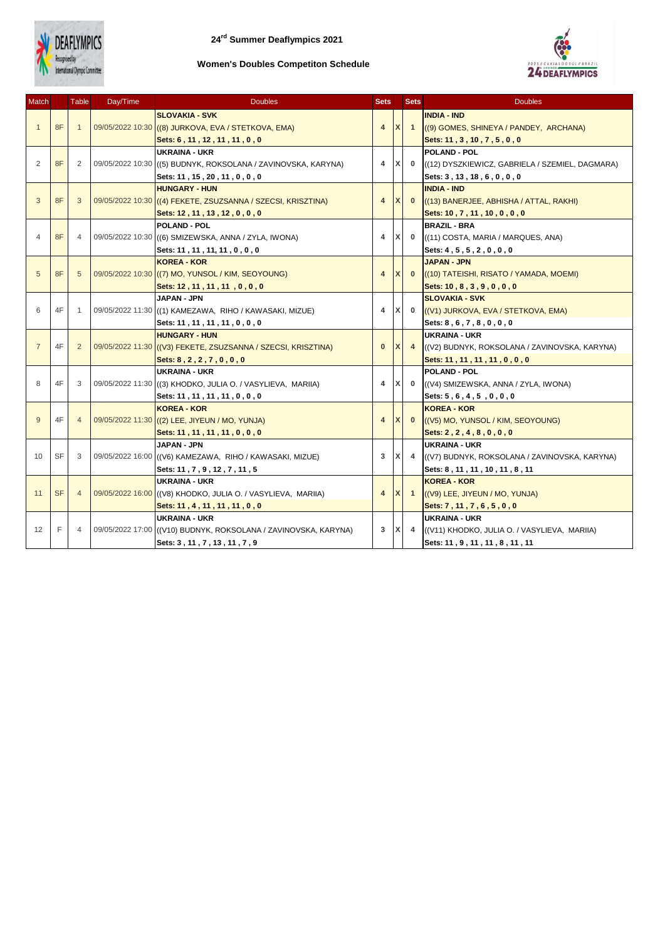

## **Women's Doubles Competiton Schedule**



| Match          |           | <b>Table</b>   | Day/Time | <b>Doubles</b>                                                  | <b>Sets</b>    |   | <b>Sets</b>    | <b>Doubles</b>                                  |
|----------------|-----------|----------------|----------|-----------------------------------------------------------------|----------------|---|----------------|-------------------------------------------------|
|                |           |                |          | <b>SLOVAKIA - SVK</b>                                           |                |   |                | <b>INDIA - IND</b>                              |
| $\overline{1}$ | 8F        | 1              |          | 09/05/2022 10:30 ((8) JURKOVA, EVA / STETKOVA, EMA)             | 4              |   | $\overline{1}$ | ((9) GOMES, SHINEYA / PANDEY, ARCHANA)          |
|                |           |                |          | Sets: 6, 11, 12, 11, 11, 0, 0                                   |                |   |                | Sets: 11, 3, 10, 7, 5, 0, 0                     |
|                |           |                |          | UKRAINA - UKR                                                   |                |   |                | <b>POLAND - POL</b>                             |
| 2              | 8F        | $\overline{2}$ |          | 09/05/2022 10:30 ((5) BUDNYK, ROKSOLANA / ZAVINOVSKA, KARYNA)   | 4              | X | $\bf{0}$       | ((12) DYSZKIEWICZ, GABRIELA / SZEMIEL, DAGMARA) |
|                |           |                |          | Sets: 11, 15, 20, 11, 0, 0, 0                                   |                |   |                | Sets: 3, 13, 18, 6, 0, 0, 0                     |
| 3              | 8F        | 3              |          | <b>HUNGARY - HUN</b>                                            |                |   | $\mathbf{0}$   | <b>INDIA - IND</b>                              |
|                |           |                |          | 09/05/2022 10:30 ((4) FEKETE, ZSUZSANNA / SZECSI, KRISZTINA)    | $\overline{4}$ |   |                | ((13) BANERJEE, ABHISHA / ATTAL, RAKHI)         |
|                |           |                |          | Sets: 12, 11, 13, 12, 0, 0, 0                                   |                |   |                | Sets: 10, 7, 11, 10, 0, 0, 0                    |
|                |           |                |          | <b>POLAND - POL</b>                                             |                |   |                | <b>BRAZIL - BRA</b>                             |
| 4              | 8F        | 4              |          | 09/05/2022 10:30 ((6) SMIZEWSKA, ANNA / ZYLA, IWONA)            | 4              | x | $\mathbf 0$    | ((11) COSTA, MARIA / MARQUES, ANA)              |
|                |           |                |          | Sets: 11, 11, 11, 11, 0, 0, 0                                   |                |   |                | Sets: 4, 5, 5, 2, 0, 0, 0                       |
|                |           |                |          | <b>KOREA - KOR</b>                                              |                |   |                | <b>JAPAN - JPN</b>                              |
| 5              | 8F        | 5              |          | 09/05/2022 10:30 ((7) MO, YUNSOL / KIM, SEOYOUNG)               | $\overline{4}$ |   | $\mathbf{0}$   | ((10) TATEISHI, RISATO / YAMADA, MOEMI)         |
|                |           |                |          | Sets: 12, 11, 11, 11, 0, 0, 0                                   |                |   |                | Sets: $10, 8, 3, 9, 0, 0, 0$                    |
|                |           | 1              |          | JAPAN - JPN                                                     |                |   |                | <b>SLOVAKIA - SVK</b>                           |
| 6              | 4F        |                |          | 09/05/2022 11:30 ((1) KAMEZAWA, RIHO / KAWASAKI, MIZUE)         | 4              | X | $\bf{0}$       | ((V1) JURKOVA, EVA / STETKOVA, EMA)             |
|                |           |                |          | Sets: 11, 11, 11, 11, 0, 0, 0                                   |                |   |                | Sets: 8, 6, 7, 8, 0, 0, 0                       |
|                | 4F        | $\overline{2}$ |          | <b>HUNGARY - HUN</b>                                            |                |   |                | <b>UKRAINA - UKR</b>                            |
| $\overline{7}$ |           |                |          | 09/05/2022 11:30 ((V3) FEKETE, ZSUZSANNA / SZECSI, KRISZTINA)   | $\mathbf{0}$   |   | $\overline{4}$ | ((V2) BUDNYK, ROKSOLANA / ZAVINOVSKA, KARYNA)   |
|                |           |                |          | Sets: 8, 2, 2, 7, 0, 0, 0                                       |                |   |                | Sets: 11, 11, 11, 11, 0, 0, 0                   |
|                | 4F        | 3              |          | <b>UKRAINA - UKR</b>                                            |                |   |                | <b>POLAND - POL</b>                             |
| 8              |           |                |          | 09/05/2022 11:30 ((3) KHODKO, JULIA O. / VASYLIEVA, MARIIA)     | 4              | X | $\bf{0}$       | ((V4) SMIZEWSKA, ANNA / ZYLA, IWONA)            |
|                |           |                |          | Sets: 11, 11, 11, 11, 0, 0, 0                                   |                |   |                | Sets: 5, 6, 4, 5, 0, 0, 0                       |
|                | 4F        | 4              |          | <b>KOREA - KOR</b>                                              |                |   |                | <b>KOREA - KOR</b>                              |
| 9              |           |                |          | 09/05/2022 11:30 ((2) LEE, JIYEUN / MO, YUNJA)                  | $\overline{4}$ |   | $\mathbf{0}$   | ((V5) MO, YUNSOL / KIM, SEOYOUNG)               |
|                |           |                |          | Sets: 11, 11, 11, 11, 0, 0, 0                                   |                |   |                | Sets: $2, 2, 4, 8, 0, 0, 0$                     |
|                | <b>SF</b> | 3              |          | JAPAN - JPN                                                     |                |   |                | <b>UKRAINA - UKR</b>                            |
| 10             |           |                |          | 09/05/2022 16:00 ((V6) KAMEZAWA, RIHO / KAWASAKI, MIZUE)        | 3              | x | $\overline{4}$ | ((V7) BUDNYK, ROKSOLANA / ZAVINOVSKA, KARYNA)   |
|                |           |                |          | Sets: 11, 7, 9, 12, 7, 11, 5                                    |                |   |                | Sets: 8, 11, 11, 10, 11, 8, 11                  |
|                | <b>SF</b> | $\overline{4}$ |          | <b>UKRAINA - UKR</b>                                            |                |   |                | <b>KOREA - KOR</b>                              |
| 11             |           |                |          | 09/05/2022 16:00 ((V8) KHODKO, JULIA O. / VASYLIEVA, MARIIA)    | $\overline{4}$ | X | $\overline{1}$ | ((V9) LEE, JIYEUN / MO, YUNJA)                  |
|                |           |                |          | Sets: 11, 4, 11, 11, 11, 0, 0                                   |                |   |                | Sets: 7, 11, 7, 6, 5, 0, 0                      |
|                | F         |                |          | UKRAINA - UKR                                                   |                |   | 4              | <b>UKRAINA - UKR</b>                            |
| 12             |           | 4              |          | 09/05/2022 17:00 ((V10) BUDNYK, ROKSOLANA / ZAVINOVSKA, KARYNA) | 3              |   |                | ((V11) KHODKO, JULIA O. / VASYLIEVA, MARIIA)    |
|                |           |                |          | Sets: 3, 11, 7, 13, 11, 7, 9                                    |                |   |                | Sets: 11, 9, 11, 11, 8, 11, 11                  |